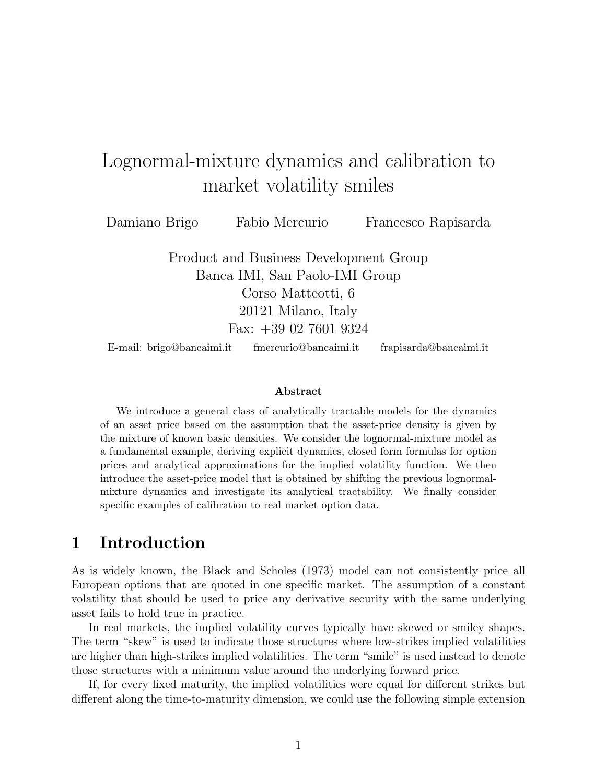# Lognormal-mixture dynamics and calibration to market volatility smiles

Damiano Brigo Fabio Mercurio Francesco Rapisarda

Product and Business Development Group Banca IMI, San Paolo-IMI Group Corso Matteotti, 6 20121 Milano, Italy Fax: +39 02 7601 9324

E-mail: brigo@bancaimi.it fmercurio@bancaimi.it frapisarda@bancaimi.it

#### Abstract

We introduce a general class of analytically tractable models for the dynamics of an asset price based on the assumption that the asset-price density is given by the mixture of known basic densities. We consider the lognormal-mixture model as a fundamental example, deriving explicit dynamics, closed form formulas for option prices and analytical approximations for the implied volatility function. We then introduce the asset-price model that is obtained by shifting the previous lognormalmixture dynamics and investigate its analytical tractability. We finally consider specific examples of calibration to real market option data.

### 1 Introduction

As is widely known, the Black and Scholes (1973) model can not consistently price all European options that are quoted in one specific market. The assumption of a constant volatility that should be used to price any derivative security with the same underlying asset fails to hold true in practice.

In real markets, the implied volatility curves typically have skewed or smiley shapes. The term "skew" is used to indicate those structures where low-strikes implied volatilities are higher than high-strikes implied volatilities. The term "smile" is used instead to denote those structures with a minimum value around the underlying forward price.

If, for every fixed maturity, the implied volatilities were equal for different strikes but different along the time-to-maturity dimension, we could use the following simple extension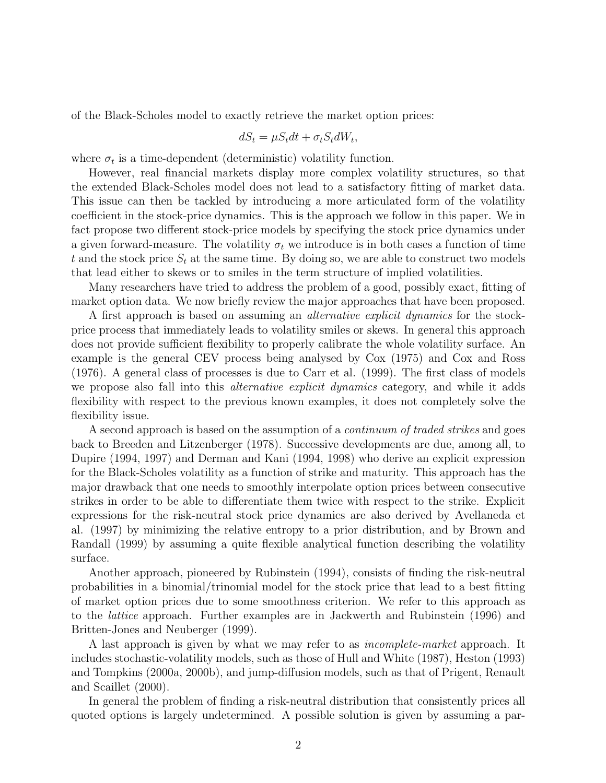of the Black-Scholes model to exactly retrieve the market option prices:

$$
dS_t = \mu S_t dt + \sigma_t S_t dW_t,
$$

where  $\sigma_t$  is a time-dependent (deterministic) volatility function.

However, real financial markets display more complex volatility structures, so that the extended Black-Scholes model does not lead to a satisfactory fitting of market data. This issue can then be tackled by introducing a more articulated form of the volatility coefficient in the stock-price dynamics. This is the approach we follow in this paper. We in fact propose two different stock-price models by specifying the stock price dynamics under a given forward-measure. The volatility  $\sigma_t$  we introduce is in both cases a function of time t and the stock price  $S_t$  at the same time. By doing so, we are able to construct two models that lead either to skews or to smiles in the term structure of implied volatilities.

Many researchers have tried to address the problem of a good, possibly exact, fitting of market option data. We now briefly review the major approaches that have been proposed.

A first approach is based on assuming an *alternative explicit dynamics* for the stockprice process that immediately leads to volatility smiles or skews. In general this approach does not provide sufficient flexibility to properly calibrate the whole volatility surface. An example is the general CEV process being analysed by Cox (1975) and Cox and Ross (1976). A general class of processes is due to Carr et al. (1999). The first class of models we propose also fall into this *alternative explicit dynamics* category, and while it adds flexibility with respect to the previous known examples, it does not completely solve the flexibility issue.

A second approach is based on the assumption of a *continuum of traded strikes* and goes back to Breeden and Litzenberger (1978). Successive developments are due, among all, to Dupire (1994, 1997) and Derman and Kani (1994, 1998) who derive an explicit expression for the Black-Scholes volatility as a function of strike and maturity. This approach has the major drawback that one needs to smoothly interpolate option prices between consecutive strikes in order to be able to differentiate them twice with respect to the strike. Explicit expressions for the risk-neutral stock price dynamics are also derived by Avellaneda et al. (1997) by minimizing the relative entropy to a prior distribution, and by Brown and Randall (1999) by assuming a quite flexible analytical function describing the volatility surface.

Another approach, pioneered by Rubinstein (1994), consists of finding the risk-neutral probabilities in a binomial/trinomial model for the stock price that lead to a best fitting of market option prices due to some smoothness criterion. We refer to this approach as to the lattice approach. Further examples are in Jackwerth and Rubinstein (1996) and Britten-Jones and Neuberger (1999).

A last approach is given by what we may refer to as *incomplete-market* approach. It includes stochastic-volatility models, such as those of Hull and White (1987), Heston (1993) and Tompkins (2000a, 2000b), and jump-diffusion models, such as that of Prigent, Renault and Scaillet (2000).

In general the problem of finding a risk-neutral distribution that consistently prices all quoted options is largely undetermined. A possible solution is given by assuming a par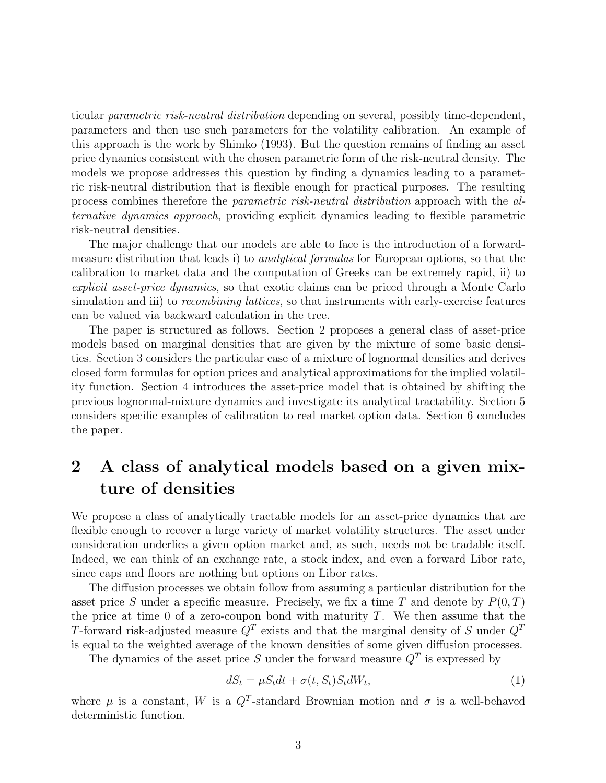ticular parametric risk-neutral distribution depending on several, possibly time-dependent, parameters and then use such parameters for the volatility calibration. An example of this approach is the work by Shimko (1993). But the question remains of finding an asset price dynamics consistent with the chosen parametric form of the risk-neutral density. The models we propose addresses this question by finding a dynamics leading to a parametric risk-neutral distribution that is flexible enough for practical purposes. The resulting process combines therefore the parametric risk-neutral distribution approach with the alternative dynamics approach, providing explicit dynamics leading to flexible parametric risk-neutral densities.

The major challenge that our models are able to face is the introduction of a forwardmeasure distribution that leads i) to analytical formulas for European options, so that the calibration to market data and the computation of Greeks can be extremely rapid, ii) to explicit asset-price dynamics, so that exotic claims can be priced through a Monte Carlo simulation and iii) to *recombining lattices*, so that instruments with early-exercise features can be valued via backward calculation in the tree.

The paper is structured as follows. Section 2 proposes a general class of asset-price models based on marginal densities that are given by the mixture of some basic densities. Section 3 considers the particular case of a mixture of lognormal densities and derives closed form formulas for option prices and analytical approximations for the implied volatility function. Section 4 introduces the asset-price model that is obtained by shifting the previous lognormal-mixture dynamics and investigate its analytical tractability. Section 5 considers specific examples of calibration to real market option data. Section 6 concludes the paper.

## 2 A class of analytical models based on a given mixture of densities

We propose a class of analytically tractable models for an asset-price dynamics that are flexible enough to recover a large variety of market volatility structures. The asset under consideration underlies a given option market and, as such, needs not be tradable itself. Indeed, we can think of an exchange rate, a stock index, and even a forward Libor rate, since caps and floors are nothing but options on Libor rates.

The diffusion processes we obtain follow from assuming a particular distribution for the asset price S under a specific measure. Precisely, we fix a time T and denote by  $P(0,T)$ the price at time 0 of a zero-coupon bond with maturity  $T$ . We then assume that the T-forward risk-adjusted measure  $Q<sup>T</sup>$  exists and that the marginal density of S under  $Q<sup>T</sup>$ is equal to the weighted average of the known densities of some given diffusion processes.

The dynamics of the asset price S under the forward measure  $Q<sup>T</sup>$  is expressed by

$$
dS_t = \mu S_t dt + \sigma(t, S_t) S_t dW_t, \qquad (1)
$$

where  $\mu$  is a constant, W is a  $Q^T$ -standard Brownian motion and  $\sigma$  is a well-behaved deterministic function.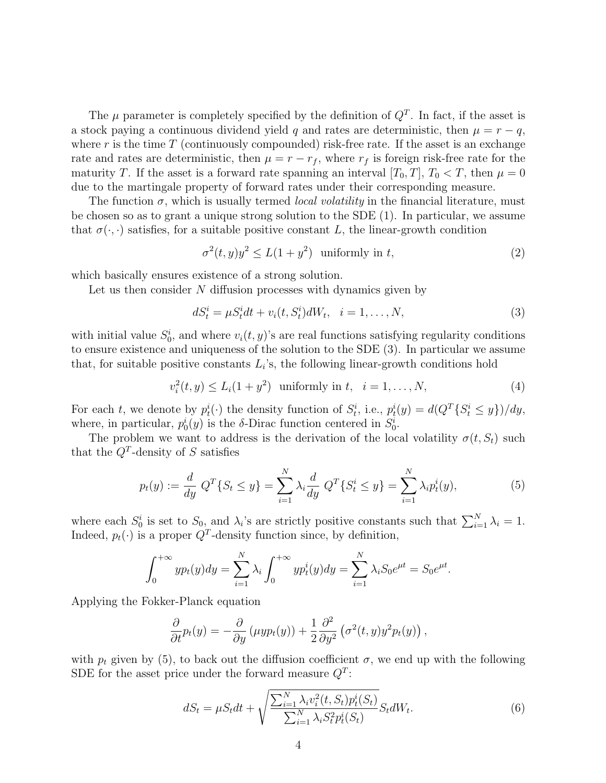The  $\mu$  parameter is completely specified by the definition of  $Q<sup>T</sup>$ . In fact, if the asset is a stock paying a continuous dividend yield q and rates are deterministic, then  $\mu = r - q$ , where r is the time  $T$  (continuously compounded) risk-free rate. If the asset is an exchange rate and rates are deterministic, then  $\mu = r - r_f$ , where  $r_f$  is foreign risk-free rate for the maturity T. If the asset is a forward rate spanning an interval  $[T_0, T]$ ,  $T_0 < T$ , then  $\mu = 0$ due to the martingale property of forward rates under their corresponding measure.

The function  $\sigma$ , which is usually termed *local volatility* in the financial literature, must be chosen so as to grant a unique strong solution to the SDE (1). In particular, we assume that  $\sigma(\cdot, \cdot)$  satisfies, for a suitable positive constant L, the linear-growth condition

$$
\sigma^2(t, y)y^2 \le L(1+y^2) \quad \text{uniformly in } t,\tag{2}
$$

which basically ensures existence of a strong solution.

Let us then consider N diffusion processes with dynamics given by

$$
dS_t^i = \mu S_t^i dt + v_i(t, S_t^i) dW_t, \quad i = 1, ..., N,
$$
\n(3)

with initial value  $S_0^i$ , and where  $v_i(t, y)$ 's are real functions satisfying regularity conditions to ensure existence and uniqueness of the solution to the SDE (3). In particular we assume that, for suitable positive constants  $L_i$ 's, the following linear-growth conditions hold

$$
v_i^2(t, y) \le L_i(1 + y^2) \text{ uniformly in } t, \ \ i = 1, ..., N,
$$
 (4)

For each t, we denote by  $p_t^i(\cdot)$  the density function of  $S_t^i$ , i.e.,  $p_t^i(y) = d(Q^T\{S_t^i \le y\})/dy$ , where, in particular,  $p_0^i(y)$  is the  $\delta$ -Dirac function centered in  $S_0^i$ .

The problem we want to address is the derivation of the local volatility  $\sigma(t, S_t)$  such that the  $Q^T$ -density of S satisfies

$$
p_t(y) := \frac{d}{dy} Q^T \{ S_t \le y \} = \sum_{i=1}^N \lambda_i \frac{d}{dy} Q^T \{ S_t^i \le y \} = \sum_{i=1}^N \lambda_i p_t^i(y),
$$
(5)

where each  $S_0^i$  is set to  $S_0$ , and  $\lambda_i$ 's are strictly positive constants such that  $\sum_{i=1}^N \lambda_i = 1$ . Indeed,  $p_t(\cdot)$  is a proper  $Q^T$ -density function since, by definition,

$$
\int_0^{+\infty} y p_t(y) dy = \sum_{i=1}^N \lambda_i \int_0^{+\infty} y p_t^i(y) dy = \sum_{i=1}^N \lambda_i S_0 e^{\mu t} = S_0 e^{\mu t}.
$$

Applying the Fokker-Planck equation

$$
\frac{\partial}{\partial t}p_t(y) = -\frac{\partial}{\partial y}(\mu y p_t(y)) + \frac{1}{2}\frac{\partial^2}{\partial y^2}(\sigma^2(t, y) y^2 p_t(y)),
$$

with  $p_t$  given by (5), to back out the diffusion coefficient  $\sigma$ , we end up with the following SDE for the asset price under the forward measure  $Q^T$ :

$$
dS_t = \mu S_t dt + \sqrt{\frac{\sum_{i=1}^N \lambda_i v_i^2(t, S_t) p_t^i(S_t)}{\sum_{i=1}^N \lambda_i S_t^2 p_t^i(S_t)}} S_t dW_t.
$$
 (6)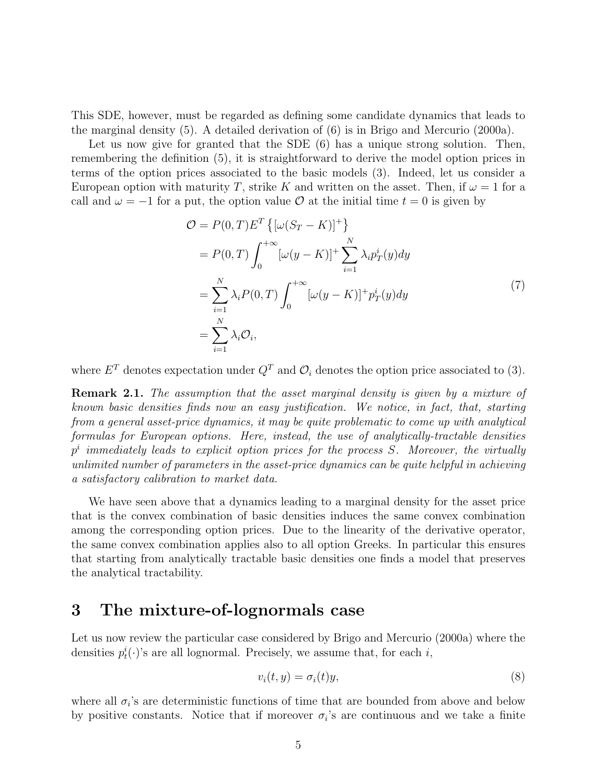This SDE, however, must be regarded as defining some candidate dynamics that leads to the marginal density (5). A detailed derivation of (6) is in Brigo and Mercurio (2000a).

Let us now give for granted that the SDE  $(6)$  has a unique strong solution. Then, remembering the definition (5), it is straightforward to derive the model option prices in terms of the option prices associated to the basic models (3). Indeed, let us consider a European option with maturity T, strike K and written on the asset. Then, if  $\omega = 1$  for a call and  $\omega = -1$  for a put, the option value O at the initial time  $t = 0$  is given by

$$
\mathcal{O} = P(0, T) E^{T} \left\{ [\omega(S_{T} - K)]^{+} \right\}
$$
  
\n
$$
= P(0, T) \int_{0}^{+\infty} [\omega(y - K)]^{+} \sum_{i=1}^{N} \lambda_{i} p_{T}^{i}(y) dy
$$
  
\n
$$
= \sum_{i=1}^{N} \lambda_{i} P(0, T) \int_{0}^{+\infty} [\omega(y - K)]^{+} p_{T}^{i}(y) dy
$$
  
\n
$$
= \sum_{i=1}^{N} \lambda_{i} \mathcal{O}_{i}, \qquad (7)
$$

where  $E^T$  denotes expectation under  $Q^T$  and  $\mathcal{O}_i$  denotes the option price associated to (3).

Remark 2.1. The assumption that the asset marginal density is given by a mixture of known basic densities finds now an easy justification. We notice, in fact, that, starting from a general asset-price dynamics, it may be quite problematic to come up with analytical formulas for European options. Here, instead, the use of analytically-tractable densities  $p<sup>i</sup>$  immediately leads to explicit option prices for the process S. Moreover, the virtually unlimited number of parameters in the asset-price dynamics can be quite helpful in achieving a satisfactory calibration to market data.

We have seen above that a dynamics leading to a marginal density for the asset price that is the convex combination of basic densities induces the same convex combination among the corresponding option prices. Due to the linearity of the derivative operator, the same convex combination applies also to all option Greeks. In particular this ensures that starting from analytically tractable basic densities one finds a model that preserves the analytical tractability.

#### 3 The mixture-of-lognormals case

Let us now review the particular case considered by Brigo and Mercurio (2000a) where the densities  $p_t^i(\cdot)$ 's are all lognormal. Precisely, we assume that, for each i,

$$
v_i(t, y) = \sigma_i(t)y,\tag{8}
$$

where all  $\sigma_i$ 's are deterministic functions of time that are bounded from above and below by positive constants. Notice that if moreover  $\sigma_i$ 's are continuous and we take a finite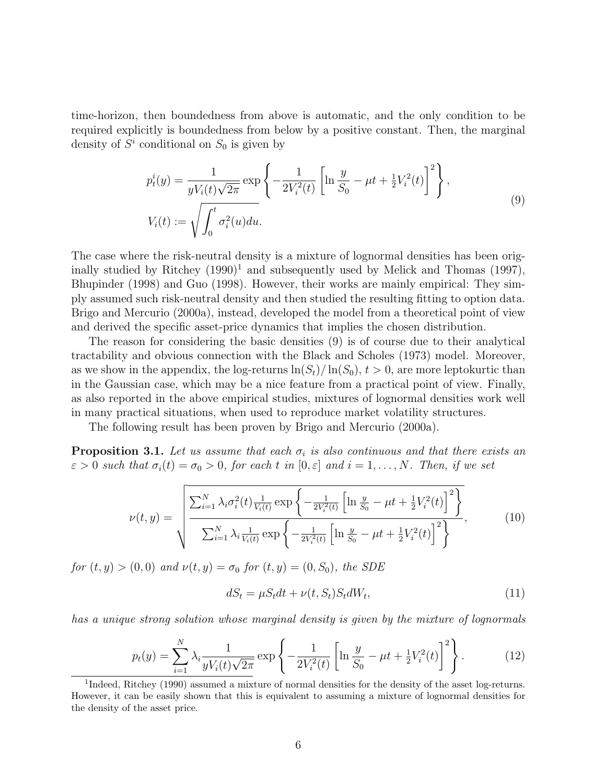time-horizon, then boundedness from above is automatic, and the only condition to be required explicitly is boundedness from below by a positive constant. Then, the marginal density of  $S^i$  conditional on  $S_0$  is given by

$$
p_t^i(y) = \frac{1}{yV_i(t)\sqrt{2\pi}} \exp\left\{-\frac{1}{2V_i^2(t)} \left[\ln\frac{y}{S_0} - \mu t + \frac{1}{2}V_i^2(t)\right]^2\right\},
$$
  

$$
V_i(t) := \sqrt{\int_0^t \sigma_i^2(u) du}.
$$
 (9)

The case where the risk-neutral density is a mixture of lognormal densities has been originally studied by Ritchey  $(1990)^1$  and subsequently used by Melick and Thomas  $(1997)$ , Bhupinder (1998) and Guo (1998). However, their works are mainly empirical: They simply assumed such risk-neutral density and then studied the resulting fitting to option data. Brigo and Mercurio (2000a), instead, developed the model from a theoretical point of view and derived the specific asset-price dynamics that implies the chosen distribution.

The reason for considering the basic densities (9) is of course due to their analytical tractability and obvious connection with the Black and Scholes (1973) model. Moreover, as we show in the appendix, the log-returns  $\ln(S_t)/\ln(S_0)$ ,  $t > 0$ , are more leptokurtic than in the Gaussian case, which may be a nice feature from a practical point of view. Finally, as also reported in the above empirical studies, mixtures of lognormal densities work well in many practical situations, when used to reproduce market volatility structures.

The following result has been proven by Brigo and Mercurio (2000a).

**Proposition 3.1.** Let us assume that each  $\sigma_i$  is also continuous and that there exists an  $\varepsilon > 0$  such that  $\sigma_i(t) = \sigma_0 > 0$ , for each t in  $[0, \varepsilon]$  and  $i = 1, \ldots, N$ . Then, if we set

$$
\nu(t,y) = \sqrt{\frac{\sum_{i=1}^{N} \lambda_i \sigma_i^2(t) \frac{1}{V_i(t)} \exp\left\{-\frac{1}{2V_i^2(t)} \left[\ln \frac{y}{S_0} - \mu t + \frac{1}{2} V_i^2(t)\right]^2\right\}}{\sum_{i=1}^{N} \lambda_i \frac{1}{V_i(t)} \exp\left\{-\frac{1}{2V_i^2(t)} \left[\ln \frac{y}{S_0} - \mu t + \frac{1}{2} V_i^2(t)\right]^2\right\}}},
$$
(10)

for  $(t, y) > (0, 0)$  and  $\nu(t, y) = \sigma_0$  for  $(t, y) = (0, S_0)$ , the SDE

$$
dS_t = \mu S_t dt + \nu(t, S_t) S_t dW_t, \qquad (11)
$$

has a unique strong solution whose marginal density is given by the mixture of lognormals

$$
p_t(y) = \sum_{i=1}^N \lambda_i \frac{1}{yV_i(t)\sqrt{2\pi}} \exp\left\{-\frac{1}{2V_i^2(t)} \left[\ln\frac{y}{S_0} - \mu t + \frac{1}{2}V_i^2(t)\right]^2\right\}.
$$
 (12)

<sup>&</sup>lt;sup>1</sup>Indeed, Ritchey (1990) assumed a mixture of normal densities for the density of the asset log-returns. However, it can be easily shown that this is equivalent to assuming a mixture of lognormal densities for the density of the asset price.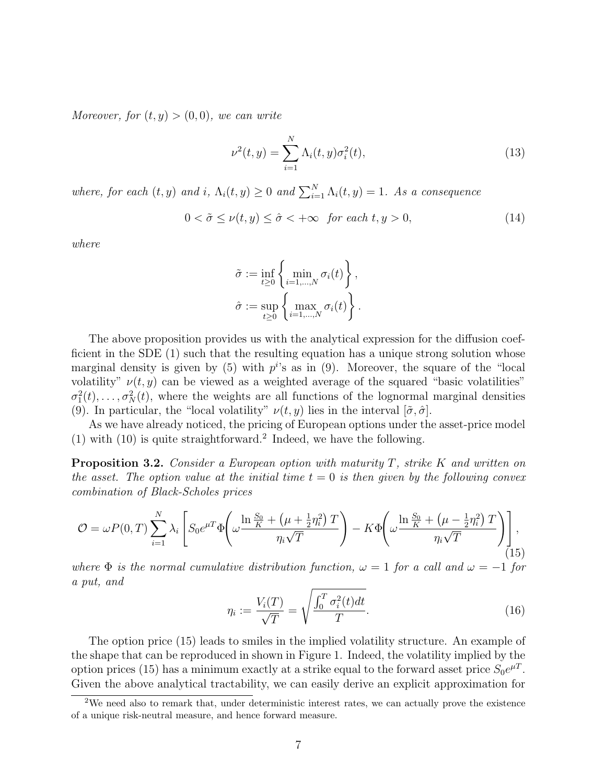Moreover, for  $(t, y) > (0, 0)$ , we can write

$$
\nu^{2}(t, y) = \sum_{i=1}^{N} \Lambda_{i}(t, y)\sigma_{i}^{2}(t),
$$
\n(13)

where, for each  $(t, y)$  and  $i, \Lambda_i(t, y) \geq 0$  and  $\sum_{i=1}^N \Lambda_i(t, y) = 1$ . As a consequence

$$
0 < \tilde{\sigma} \le \nu(t, y) \le \hat{\sigma} < +\infty \quad \text{for each } t, y > 0,\tag{14}
$$

where

$$
\tilde{\sigma} := \inf_{t \geq 0} \left\{ \min_{i=1,\dots,N} \sigma_i(t) \right\},\
$$

$$
\hat{\sigma} := \sup_{t \geq 0} \left\{ \max_{i=1,\dots,N} \sigma_i(t) \right\}.
$$

The above proposition provides us with the analytical expression for the diffusion coefficient in the SDE (1) such that the resulting equation has a unique strong solution whose marginal density is given by (5) with  $p^{i}$ 's as in (9). Moreover, the square of the "local volatility"  $\nu(t, y)$  can be viewed as a weighted average of the squared "basic volatilities"  $\sigma_1^2(t), \ldots, \sigma_N^2(t)$ , where the weights are all functions of the lognormal marginal densities (9). In particular, the "local volatility"  $\nu(t, y)$  lies in the interval  $[\tilde{\sigma}, \hat{\sigma}]$ .

As we have already noticed, the pricing of European options under the asset-price model (1) with (10) is quite straightforward.<sup>2</sup> Indeed, we have the following.

**Proposition 3.2.** Consider a European option with maturity  $T$ , strike  $K$  and written on the asset. The option value at the initial time  $t = 0$  is then given by the following convex combination of Black-Scholes prices

$$
\mathcal{O} = \omega P(0,T) \sum_{i=1}^{N} \lambda_i \left[ S_0 e^{\mu T} \Phi \left( \omega \frac{\ln \frac{S_0}{K} + \left( \mu + \frac{1}{2} \eta_i^2 \right) T}{\eta_i \sqrt{T}} \right) - K \Phi \left( \omega \frac{\ln \frac{S_0}{K} + \left( \mu - \frac{1}{2} \eta_i^2 \right) T}{\eta_i \sqrt{T}} \right) \right],
$$
\n(15)

where  $\Phi$  is the normal cumulative distribution function,  $\omega = 1$  for a call and  $\omega = -1$  for a put, and

$$
\eta_i := \frac{V_i(T)}{\sqrt{T}} = \sqrt{\frac{\int_0^T \sigma_i^2(t)dt}{T}}.
$$
\n(16)

The option price (15) leads to smiles in the implied volatility structure. An example of the shape that can be reproduced in shown in Figure 1. Indeed, the volatility implied by the option prices (15) has a minimum exactly at a strike equal to the forward asset price  $S_0e^{\mu T}$ . Given the above analytical tractability, we can easily derive an explicit approximation for

<sup>&</sup>lt;sup>2</sup>We need also to remark that, under deterministic interest rates, we can actually prove the existence of a unique risk-neutral measure, and hence forward measure.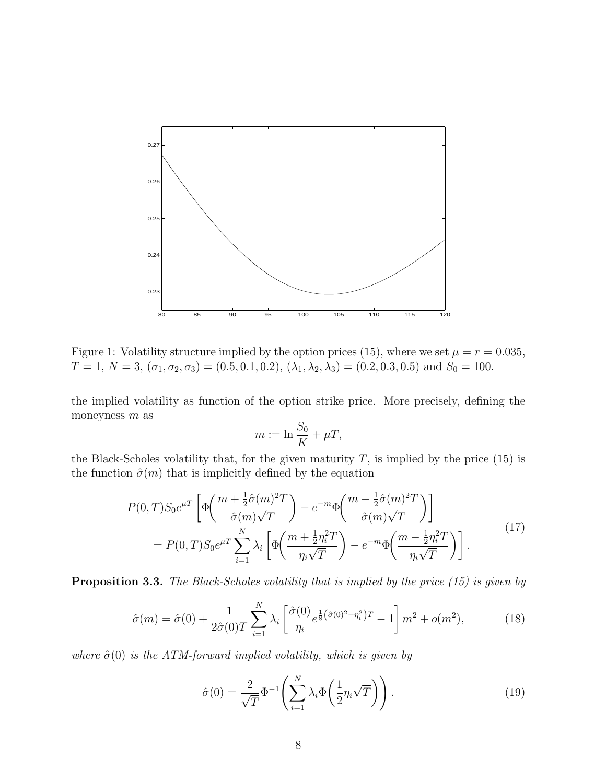

Figure 1: Volatility structure implied by the option prices (15), where we set  $\mu = r = 0.035$ ,  $T = 1, N = 3, (\sigma_1, \sigma_2, \sigma_3) = (0.5, 0.1, 0.2), (\lambda_1, \lambda_2, \lambda_3) = (0.2, 0.3, 0.5)$  and  $S_0 = 100$ .

the implied volatility as function of the option strike price. More precisely, defining the moneyness  $m$  as

$$
m := \ln \frac{S_0}{K} + \mu T,
$$

the Black-Scholes volatility that, for the given maturity  $T$ , is implied by the price (15) is the function  $\hat{\sigma}(m)$  that is implicitly defined by the equation

$$
P(0,T)S_0e^{\mu T}\left[\Phi\left(\frac{m+\frac{1}{2}\hat{\sigma}(m)^2T}{\hat{\sigma}(m)\sqrt{T}}\right)-e^{-m}\Phi\left(\frac{m-\frac{1}{2}\hat{\sigma}(m)^2T}{\hat{\sigma}(m)\sqrt{T}}\right)\right]
$$
  
= 
$$
P(0,T)S_0e^{\mu T}\sum_{i=1}^N\lambda_i\left[\Phi\left(\frac{m+\frac{1}{2}\eta_i^2T}{\eta_i\sqrt{T}}\right)-e^{-m}\Phi\left(\frac{m-\frac{1}{2}\eta_i^2T}{\eta_i\sqrt{T}}\right)\right].
$$
 (17)

**Proposition 3.3.** The Black-Scholes volatility that is implied by the price (15) is given by

$$
\hat{\sigma}(m) = \hat{\sigma}(0) + \frac{1}{2\hat{\sigma}(0)T} \sum_{i=1}^{N} \lambda_i \left[ \frac{\hat{\sigma}(0)}{\eta_i} e^{\frac{1}{8}(\hat{\sigma}(0)^2 - \eta_i^2)T} - 1 \right] m^2 + o(m^2), \tag{18}
$$

where  $\hat{\sigma}(0)$  is the ATM-forward implied volatility, which is given by

$$
\hat{\sigma}(0) = \frac{2}{\sqrt{T}} \Phi^{-1} \left( \sum_{i=1}^{N} \lambda_i \Phi \left( \frac{1}{2} \eta_i \sqrt{T} \right) \right).
$$
\n(19)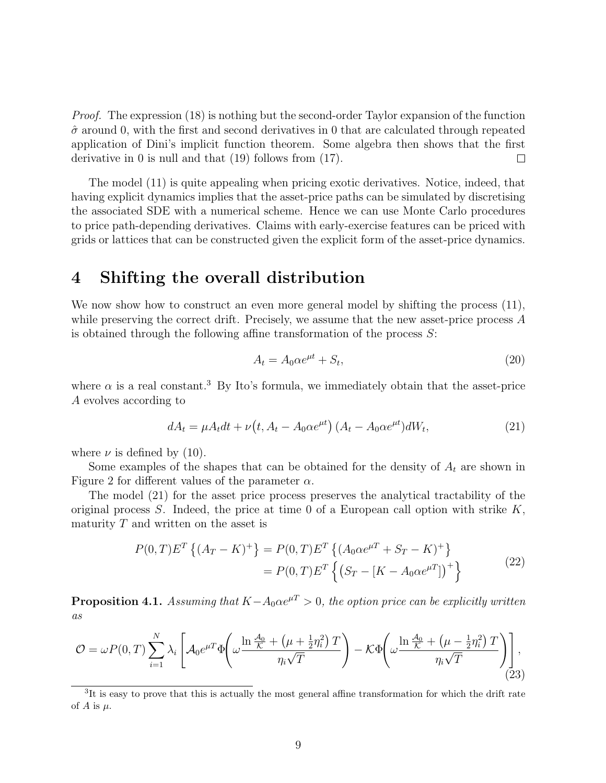Proof. The expression (18) is nothing but the second-order Taylor expansion of the function  $\hat{\sigma}$  around 0, with the first and second derivatives in 0 that are calculated through repeated application of Dini's implicit function theorem. Some algebra then shows that the first derivative in 0 is null and that (19) follows from (17).  $\Box$ 

The model (11) is quite appealing when pricing exotic derivatives. Notice, indeed, that having explicit dynamics implies that the asset-price paths can be simulated by discretising the associated SDE with a numerical scheme. Hence we can use Monte Carlo procedures to price path-depending derivatives. Claims with early-exercise features can be priced with grids or lattices that can be constructed given the explicit form of the asset-price dynamics.

### 4 Shifting the overall distribution

We now show how to construct an even more general model by shifting the process  $(11)$ , while preserving the correct drift. Precisely, we assume that the new asset-price process A is obtained through the following affine transformation of the process  $S$ :

$$
A_t = A_0 \alpha e^{\mu t} + S_t,\tag{20}
$$

where  $\alpha$  is a real constant.<sup>3</sup> By Ito's formula, we immediately obtain that the asset-price A evolves according to

$$
dA_t = \mu A_t dt + \nu \left( t, A_t - A_0 \alpha e^{\mu t} \right) \left( A_t - A_0 \alpha e^{\mu t} \right) dW_t, \tag{21}
$$

where  $\nu$  is defined by (10).

Some examples of the shapes that can be obtained for the density of  $A_t$  are shown in Figure 2 for different values of the parameter  $\alpha$ .

The model (21) for the asset price process preserves the analytical tractability of the original process  $S$ . Indeed, the price at time 0 of a European call option with strike  $K$ , maturity  $T$  and written on the asset is

$$
P(0,T)E^{T}\{(A_{T}-K)^{+}\}=P(0,T)E^{T}\{(A_{0}\alpha e^{\mu T}+S_{T}-K)^{+}\}\
$$

$$
=P(0,T)E^{T}\{(S_{T}-[K-A_{0}\alpha e^{\mu T}])^{+}\}
$$
(22)

**Proposition 4.1.** Assuming that  $K-A_0\alpha e^{\mu T} > 0$ , the option price can be explicitly written as

$$
\mathcal{O} = \omega P(0,T) \sum_{i=1}^{N} \lambda_i \left[ \mathcal{A}_0 e^{\mu T} \Phi \left( \omega \frac{\ln \frac{\mathcal{A}_0}{\mathcal{K}} + \left( \mu + \frac{1}{2} \eta_i^2 \right) T}{\eta_i \sqrt{T}} \right) - \mathcal{K} \Phi \left( \omega \frac{\ln \frac{\mathcal{A}_0}{\mathcal{K}} + \left( \mu - \frac{1}{2} \eta_i^2 \right) T}{\eta_i \sqrt{T}} \right) \right],
$$
\n(23)

<sup>&</sup>lt;sup>3</sup>It is easy to prove that this is actually the most general affine transformation for which the drift rate of A is  $\mu$ .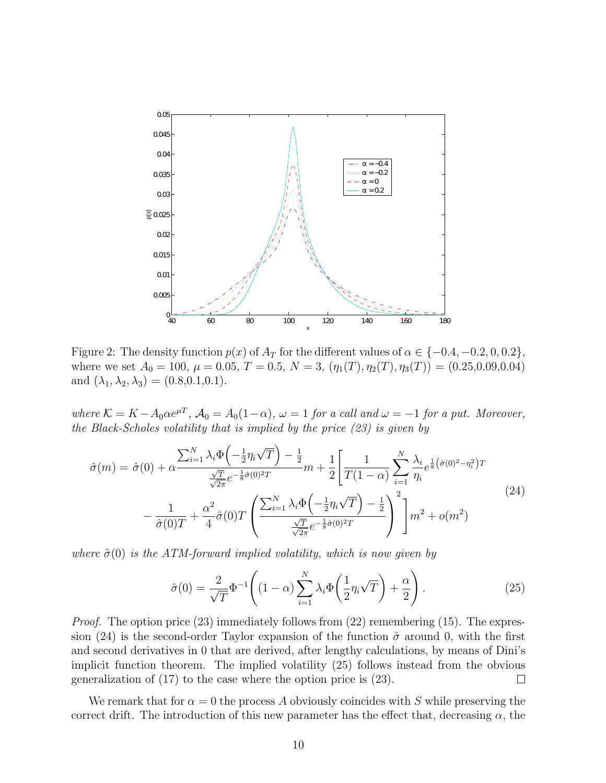

Figure 2: The density function  $p(x)$  of  $A_T$  for the different values of  $\alpha \in \{-0.4, -0.2, 0, 0.2\}$ , where we set  $A_0 = 100$ ,  $\mu = 0.05$ ,  $T = 0.5$ ,  $N = 3$ ,  $(\eta_1(T), \eta_2(T), \eta_3(T)) = (0.25, 0.09, 0.04)$ and  $(\lambda_1, \lambda_2, \lambda_3) = (0.8, 0.1, 0.1).$ 

where  $\mathcal{K} = K - A_0 \alpha e^{\mu T}$ ,  $\mathcal{A}_0 = A_0 (1 - \alpha)$ ,  $\omega = 1$  for a call and  $\omega = -1$  for a put. Moreover, the Black-Scholes volatility that is implied by the price (23) is given by

$$
\hat{\sigma}(m) = \hat{\sigma}(0) + \alpha \frac{\sum_{i=1}^{N} \lambda_i \Phi\left(-\frac{1}{2}\eta_i \sqrt{T}\right) - \frac{1}{2}}{\frac{\sqrt{T}}{\sqrt{2\pi}} e^{-\frac{1}{8}\hat{\sigma}(0)^2 T}} m + \frac{1}{2} \left[ \frac{1}{T(1-\alpha)} \sum_{i=1}^{N} \frac{\lambda_i}{\eta_i} e^{\frac{1}{8}(\hat{\sigma}(0)^2 - \eta_i^2) T} - \frac{1}{\hat{\sigma}(0)T} + \frac{\alpha^2}{4} \hat{\sigma}(0)T \left( \frac{\sum_{i=1}^{N} \lambda_i \Phi\left(-\frac{1}{2}\eta_i \sqrt{T}\right) - \frac{1}{2}}{\frac{\sqrt{T}}{\sqrt{2\pi}} e^{-\frac{1}{8}\hat{\sigma}(0)^2 T}} \right)^2 \right] m^2 + o(m^2)
$$
\n(24)

where  $\hat{\sigma}(0)$  is the ATM-forward implied volatility, which is now given by

$$
\hat{\sigma}(0) = \frac{2}{\sqrt{T}} \Phi^{-1} \left( (1 - \alpha) \sum_{i=1}^{N} \lambda_i \Phi \left( \frac{1}{2} \eta_i \sqrt{T} \right) + \frac{\alpha}{2} \right). \tag{25}
$$

*Proof.* The option price (23) immediately follows from (22) remembering (15). The expression (24) is the second-order Taylor expansion of the function  $\hat{\sigma}$  around 0, with the first and second derivatives in 0 that are derived, after lengthy calculations, by means of Dini's implicit function theorem. The implied volatility (25) follows instead from the obvious generalization of (17) to the case where the option price is (23).  $\Box$ 

We remark that for  $\alpha = 0$  the process A obviously coincides with S while preserving the correct drift. The introduction of this new parameter has the effect that, decreasing  $\alpha$ , the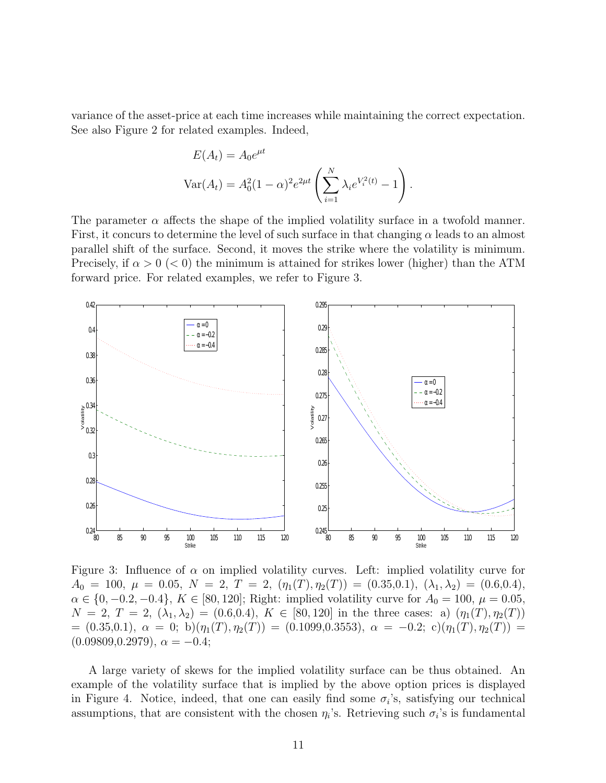variance of the asset-price at each time increases while maintaining the correct expectation. See also Figure 2 for related examples. Indeed,

$$
E(A_t) = A_0 e^{\mu t}
$$
  
 
$$
Var(A_t) = A_0^2 (1 - \alpha)^2 e^{2\mu t} \left( \sum_{i=1}^N \lambda_i e^{V_i^2(t)} - 1 \right).
$$

The parameter  $\alpha$  affects the shape of the implied volatility surface in a twofold manner. First, it concurs to determine the level of such surface in that changing  $\alpha$  leads to an almost parallel shift of the surface. Second, it moves the strike where the volatility is minimum. Precisely, if  $\alpha > 0$  ( $< 0$ ) the minimum is attained for strikes lower (higher) than the ATM forward price. For related examples, we refer to Figure 3.



Figure 3: Influence of  $\alpha$  on implied volatility curves. Left: implied volatility curve for  $A_0 = 100, \mu = 0.05, N = 2, T = 2, (\eta_1(T), \eta_2(T)) = (0.35, 0.1), (\lambda_1, \lambda_2) = (0.6, 0.4),$  $\alpha \in \{0, -0.2, -0.4\}, K \in [80, 120]$ ; Right: implied volatility curve for  $A_0 = 100, \mu = 0.05$ ,  $N = 2, T = 2, (\lambda_1, \lambda_2) = (0.6, 0.4), K \in [80, 120]$  in the three cases: a)  $(\eta_1(T), \eta_2(T))$  $= (0.35,0.1), \ \alpha = 0; \ b)(\eta_1(T), \eta_2(T)) = (0.1099, 0.3553), \ \alpha = -0.2; \ c)(\eta_1(T), \eta_2(T)) =$  $(0.09809, 0.2979), \alpha = -0.4;$ 

A large variety of skews for the implied volatility surface can be thus obtained. An example of the volatility surface that is implied by the above option prices is displayed in Figure 4. Notice, indeed, that one can easily find some  $\sigma_i$ 's, satisfying our technical assumptions, that are consistent with the chosen  $\eta_i$ 's. Retrieving such  $\sigma_i$ 's is fundamental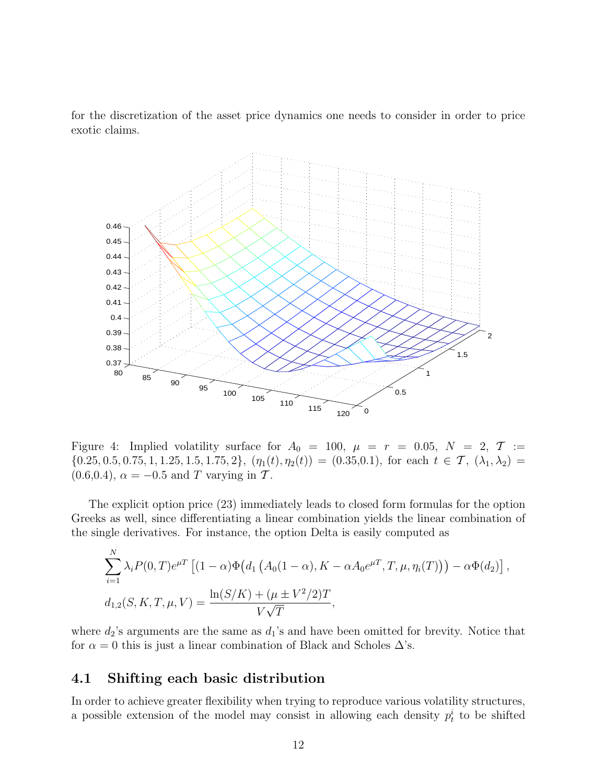for the discretization of the asset price dynamics one needs to consider in order to price exotic claims.



Figure 4: Implied volatility surface for  $A_0 = 100$ ,  $\mu = r = 0.05$ ,  $N = 2$ ,  $T :=$  ${0.25, 0.5, 0.75, 1, 1.25, 1.5, 1.75, 2}, (\eta_1(t), \eta_2(t)) = (0.35, 0.1),$  for each  $t \in \mathcal{T}, (\lambda_1, \lambda_2) =$  $(0.6, 0.4), \alpha = -0.5 \text{ and } T \text{ varying in } \mathcal{T}.$ 

The explicit option price (23) immediately leads to closed form formulas for the option Greeks as well, since differentiating a linear combination yields the linear combination of the single derivatives. For instance, the option Delta is easily computed as

$$
\sum_{i=1}^{N} \lambda_i P(0, T) e^{\mu T} \left[ (1 - \alpha) \Phi\big(d_1 \left( A_0(1 - \alpha), K - \alpha A_0 e^{\mu T}, T, \mu, \eta_i(T) \big) \right) - \alpha \Phi(d_2) \right],
$$
  

$$
d_{1,2}(S, K, T, \mu, V) = \frac{\ln(S/K) + (\mu \pm V^2/2) T}{V\sqrt{T}},
$$

where  $d_2$ 's arguments are the same as  $d_1$ 's and have been omitted for brevity. Notice that for  $\alpha = 0$  this is just a linear combination of Black and Scholes  $\Delta$ 's.

#### 4.1 Shifting each basic distribution

In order to achieve greater flexibility when trying to reproduce various volatility structures, a possible extension of the model may consist in allowing each density  $p_t^i$  to be shifted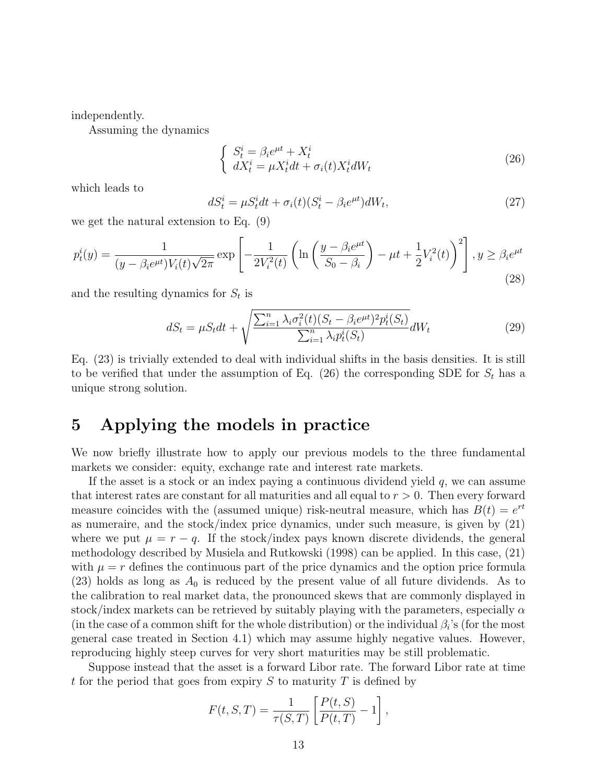independently.

Assuming the dynamics

$$
\begin{cases}\nS_t^i = \beta_i e^{\mu t} + X_t^i \\
dX_t^i = \mu X_t^i dt + \sigma_i(t) X_t^i dW_t\n\end{cases}
$$
\n(26)

which leads to

$$
dS_t^i = \mu S_t^i dt + \sigma_i(t) (S_t^i - \beta_i e^{\mu t}) dW_t,
$$
\n(27)

we get the natural extension to Eq. (9)

$$
p_t^i(y) = \frac{1}{(y - \beta_i e^{\mu t}) V_i(t) \sqrt{2\pi}} \exp\left[-\frac{1}{2V_i^2(t)} \left(\ln\left(\frac{y - \beta_i e^{\mu t}}{S_0 - \beta_i}\right) - \mu t + \frac{1}{2} V_i^2(t)\right)^2\right], y \ge \beta_i e^{\mu t}
$$
\n(28)

and the resulting dynamics for  $S_t$  is

$$
dS_t = \mu S_t dt + \sqrt{\frac{\sum_{i=1}^n \lambda_i \sigma_i^2(t) (S_t - \beta_i e^{\mu t})^2 p_t^i(S_t)}{\sum_{i=1}^n \lambda_i p_t^i(S_t)}} dW_t
$$
 (29)

Eq. (23) is trivially extended to deal with individual shifts in the basis densities. It is still to be verified that under the assumption of Eq. (26) the corresponding SDE for  $S_t$  has a unique strong solution.

### 5 Applying the models in practice

We now briefly illustrate how to apply our previous models to the three fundamental markets we consider: equity, exchange rate and interest rate markets.

If the asset is a stock or an index paying a continuous dividend yield  $q$ , we can assume that interest rates are constant for all maturities and all equal to  $r > 0$ . Then every forward measure coincides with the (assumed unique) risk-neutral measure, which has  $B(t) = e^{rt}$ as numeraire, and the stock/index price dynamics, under such measure, is given by (21) where we put  $\mu = r - q$ . If the stock/index pays known discrete dividends, the general methodology described by Musiela and Rutkowski (1998) can be applied. In this case, (21) with  $\mu = r$  defines the continuous part of the price dynamics and the option price formula  $(23)$  holds as long as  $A_0$  is reduced by the present value of all future dividends. As to the calibration to real market data, the pronounced skews that are commonly displayed in stock/index markets can be retrieved by suitably playing with the parameters, especially  $\alpha$ (in the case of a common shift for the whole distribution) or the individual  $\beta_i$ 's (for the most general case treated in Section 4.1) which may assume highly negative values. However, reproducing highly steep curves for very short maturities may be still problematic.

Suppose instead that the asset is a forward Libor rate. The forward Libor rate at time t for the period that goes from expiry S to maturity T is defined by

$$
F(t, S, T) = \frac{1}{\tau(S, T)} \left[ \frac{P(t, S)}{P(t, T)} - 1 \right],
$$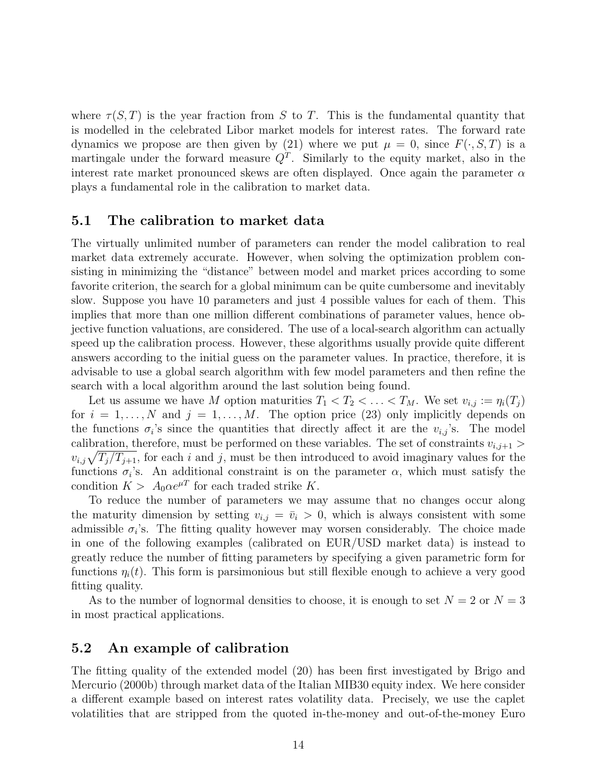where  $\tau(S,T)$  is the year fraction from S to T. This is the fundamental quantity that is modelled in the celebrated Libor market models for interest rates. The forward rate dynamics we propose are then given by (21) where we put  $\mu = 0$ , since  $F(\cdot, S, T)$  is a martingale under the forward measure  $Q<sup>T</sup>$ . Similarly to the equity market, also in the interest rate market pronounced skews are often displayed. Once again the parameter  $\alpha$ plays a fundamental role in the calibration to market data.

#### 5.1 The calibration to market data

The virtually unlimited number of parameters can render the model calibration to real market data extremely accurate. However, when solving the optimization problem consisting in minimizing the "distance" between model and market prices according to some favorite criterion, the search for a global minimum can be quite cumbersome and inevitably slow. Suppose you have 10 parameters and just 4 possible values for each of them. This implies that more than one million different combinations of parameter values, hence objective function valuations, are considered. The use of a local-search algorithm can actually speed up the calibration process. However, these algorithms usually provide quite different answers according to the initial guess on the parameter values. In practice, therefore, it is advisable to use a global search algorithm with few model parameters and then refine the search with a local algorithm around the last solution being found.

Let us assume we have M option maturities  $T_1 < T_2 < \ldots < T_M$ . We set  $v_{i,j} := \eta_i(T_j)$ for  $i = 1, \ldots, N$  and  $j = 1, \ldots, M$ . The option price (23) only implicitly depends on the functions  $\sigma_i$ 's since the quantities that directly affect it are the  $v_{i,j}$ 's. The model calibration, therefore, must be performed on these variables. The set of constraints  $v_{i,j+1}$ calibration, therefore, must be performed on these variables. The set of constraints  $v_{i,j+1} > v_{i,j}\sqrt{T_j/T_{j+1}}$ , for each i and j, must be then introduced to avoid imaginary values for the functions  $\sigma_i$ 's. An additional constraint is on the parameter  $\alpha$ , which must satisfy the condition  $K > A_0 \alpha e^{\mu T}$  for each traded strike K.

To reduce the number of parameters we may assume that no changes occur along the maturity dimension by setting  $v_{i,j} = \bar{v}_i > 0$ , which is always consistent with some admissible  $\sigma_i$ 's. The fitting quality however may worsen considerably. The choice made in one of the following examples (calibrated on EUR/USD market data) is instead to greatly reduce the number of fitting parameters by specifying a given parametric form for functions  $\eta_i(t)$ . This form is parsimonious but still flexible enough to achieve a very good fitting quality.

As to the number of lognormal densities to choose, it is enough to set  $N = 2$  or  $N = 3$ in most practical applications.

#### 5.2 An example of calibration

The fitting quality of the extended model (20) has been first investigated by Brigo and Mercurio (2000b) through market data of the Italian MIB30 equity index. We here consider a different example based on interest rates volatility data. Precisely, we use the caplet volatilities that are stripped from the quoted in-the-money and out-of-the-money Euro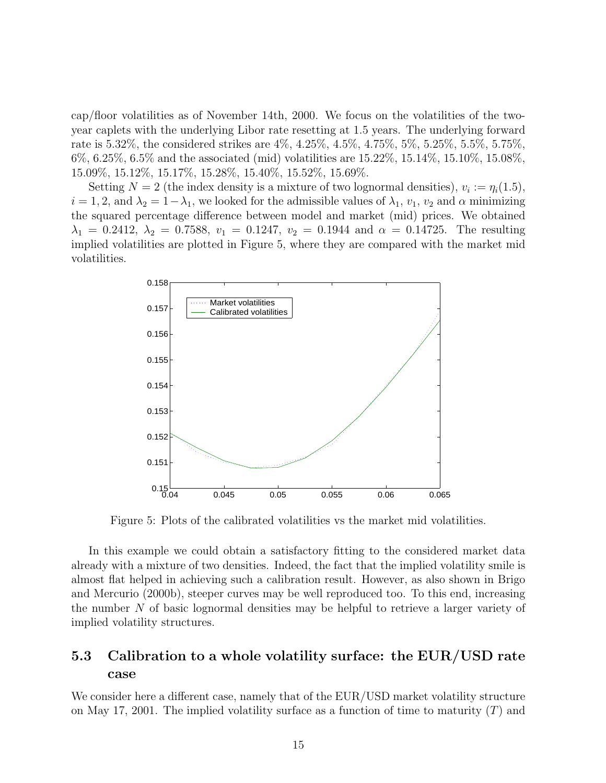cap/floor volatilities as of November 14th, 2000. We focus on the volatilities of the twoyear caplets with the underlying Libor rate resetting at 1.5 years. The underlying forward rate is 5.32%, the considered strikes are 4%, 4.25%, 4.5%, 4.75%, 5%, 5.25%, 5.5%, 5.75%, 6%, 6.25%, 6.5% and the associated (mid) volatilities are 15.22%, 15.14%, 15.10%, 15.08%, 15.09%, 15.12%, 15.17%, 15.28%, 15.40%, 15.52%, 15.69%.

Setting  $N = 2$  (the index density is a mixture of two lognormal densities),  $v_i := \eta_i(1.5)$ ,  $i = 1, 2$ , and  $\lambda_2 = 1 - \lambda_1$ , we looked for the admissible values of  $\lambda_1$ ,  $v_1$ ,  $v_2$  and  $\alpha$  minimizing the squared percentage difference between model and market (mid) prices. We obtained  $\lambda_1 = 0.2412, \lambda_2 = 0.7588, v_1 = 0.1247, v_2 = 0.1944 \text{ and } \alpha = 0.14725.$  The resulting implied volatilities are plotted in Figure 5, where they are compared with the market mid volatilities.



Figure 5: Plots of the calibrated volatilities vs the market mid volatilities.

In this example we could obtain a satisfactory fitting to the considered market data already with a mixture of two densities. Indeed, the fact that the implied volatility smile is almost flat helped in achieving such a calibration result. However, as also shown in Brigo and Mercurio (2000b), steeper curves may be well reproduced too. To this end, increasing the number N of basic lognormal densities may be helpful to retrieve a larger variety of implied volatility structures.

#### 5.3 Calibration to a whole volatility surface: the EUR/USD rate case

We consider here a different case, namely that of the EUR/USD market volatility structure on May 17, 2001. The implied volatility surface as a function of time to maturity  $(T)$  and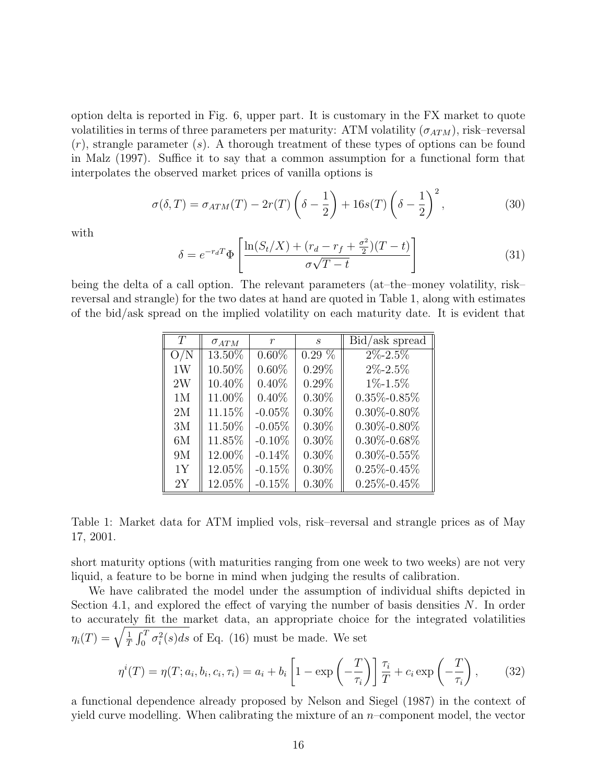option delta is reported in Fig. 6, upper part. It is customary in the FX market to quote volatilities in terms of three parameters per maturity: ATM volatility  $(\sigma_{ATM})$ , risk–reversal  $(r)$ , strangle parameter (s). A thorough treatment of these types of options can be found in Malz (1997). Suffice it to say that a common assumption for a functional form that interpolates the observed market prices of vanilla options is

$$
\sigma(\delta, T) = \sigma_{ATM}(T) - 2r(T) \left(\delta - \frac{1}{2}\right) + 16s(T) \left(\delta - \frac{1}{2}\right)^2,\tag{30}
$$

with

$$
\delta = e^{-r_d T} \Phi \left[ \frac{\ln(S_t/X) + (r_d - r_f + \frac{\sigma^2}{2})(T-t)}{\sigma \sqrt{T-t}} \right]
$$
\n(31)

being the delta of a call option. The relevant parameters (at–the–money volatility, risk– reversal and strangle) for the two dates at hand are quoted in Table 1, along with estimates of the bid/ask spread on the implied volatility on each maturity date. It is evident that

| T              | $\sigma_{ATM}$ | $\mathcal{r}$ | $\mathcal{S}$ | Bid/ask spread    |
|----------------|----------------|---------------|---------------|-------------------|
| O/N            | 13.50%         | $0.60\%$      | $0.29\%$      | $2\% - 2.5\%$     |
| 1W             | 10.50%         | $0.60\%$      | $0.29\%$      | $2\% - 2.5\%$     |
| 2W             | 10.40%         | $0.40\%$      | $0.29\%$      | $1\% - 1.5\%$     |
| 1 <sub>M</sub> | 11.00%         | $0.40\%$      | $0.30\%$      | $0.35\% - 0.85\%$ |
| 2M             | 11.15%         | $-0.05%$      | $0.30\%$      | $0.30\% - 0.80\%$ |
| 3M             | 11.50%         | $-0.05%$      | $0.30\%$      | $0.30\% - 0.80\%$ |
| 6M             | 11.85%         | $-0.10\%$     | $0.30\%$      | $0.30\% - 0.68\%$ |
| 9M             | 12.00%         | $-0.14\%$     | $0.30\%$      | $0.30\% - 0.55\%$ |
| 1Y             | 12.05%         | $-0.15%$      | $0.30\%$      | $0.25\% - 0.45\%$ |
| 2Y             | 12.05%         | $-0.15%$      | $0.30\%$      | $0.25\% - 0.45\%$ |

Table 1: Market data for ATM implied vols, risk–reversal and strangle prices as of May 17, 2001.

short maturity options (with maturities ranging from one week to two weeks) are not very liquid, a feature to be borne in mind when judging the results of calibration.

We have calibrated the model under the assumption of individual shifts depicted in Section 4.1, and explored the effect of varying the number of basis densities  $N$ . In order to accurately fit the market data, an appropriate choice for the integrated volatilities to accurate<br> $\eta_i(T) = \sqrt{\frac{1}{\tau}}$ T  $\frac{1}{r^T}$  $\int_0^T \sigma_i^2(s)ds$  of Eq. (16) must be made. We set

$$
\eta^{i}(T) = \eta(T; a_i, b_i, c_i, \tau_i) = a_i + b_i \left[ 1 - \exp\left(-\frac{T}{\tau_i}\right) \right] \frac{\tau_i}{T} + c_i \exp\left(-\frac{T}{\tau_i}\right), \quad (32)
$$

a functional dependence already proposed by Nelson and Siegel (1987) in the context of yield curve modelling. When calibrating the mixture of an  $n$ -component model, the vector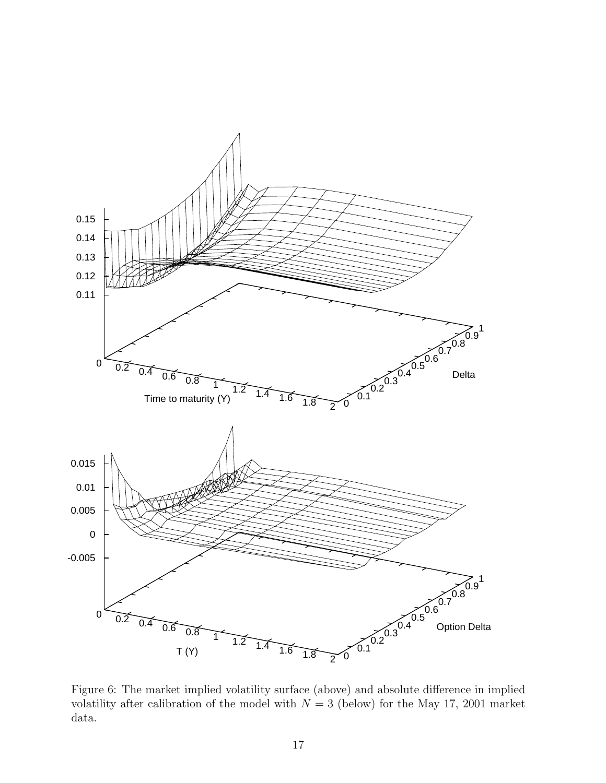

Figure 6: The market implied volatility surface (above) and absolute difference in implied volatility after calibration of the model with  $N = 3$  (below) for the May 17, 2001 market data.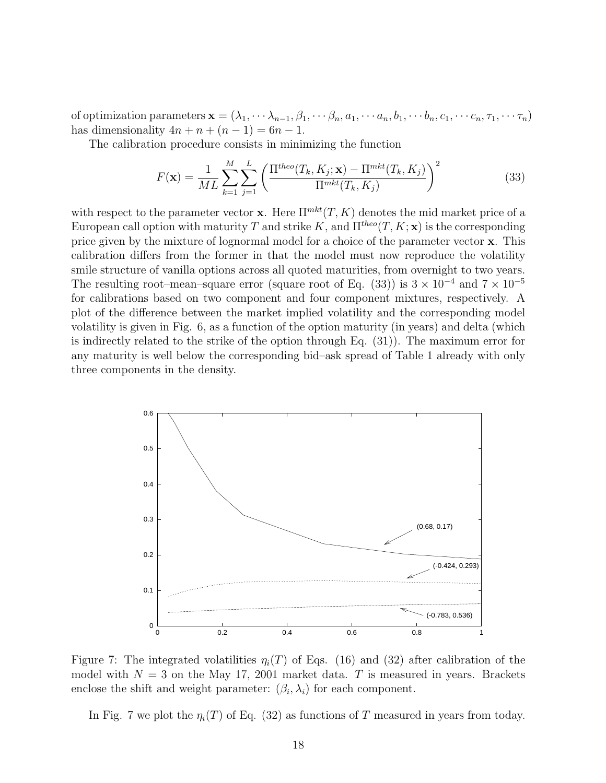of optimization parameters  $\mathbf{x} = (\lambda_1, \dots, \lambda_{n-1}, \beta_1, \dots, \beta_n, a_1, \dots, a_n, b_1, \dots, b_n, c_1, \dots, c_n, \tau_1, \dots, \tau_n)$ has dimensionality  $4n + n + (n - 1) = 6n - 1$ .

The calibration procedure consists in minimizing the function

$$
F(\mathbf{x}) = \frac{1}{ML} \sum_{k=1}^{M} \sum_{j=1}^{L} \left( \frac{\Pi^{theo}(T_k, K_j; \mathbf{x}) - \Pi^{mkt}(T_k, K_j)}{\Pi^{mkt}(T_k, K_j)} \right)^2
$$
(33)

with respect to the parameter vector **x**. Here  $\Pi^{mkt}(T, K)$  denotes the mid market price of a European call option with maturity T and strike K, and  $\Pi^{theo}(T, K; \mathbf{x})$  is the corresponding price given by the mixture of lognormal model for a choice of the parameter vector x. This calibration differs from the former in that the model must now reproduce the volatility smile structure of vanilla options across all quoted maturities, from overnight to two years. The resulting root–mean–square error (square root of Eq. (33)) is  $3 \times 10^{-4}$  and  $7 \times 10^{-5}$ for calibrations based on two component and four component mixtures, respectively. A plot of the difference between the market implied volatility and the corresponding model volatility is given in Fig. 6, as a function of the option maturity (in years) and delta (which is indirectly related to the strike of the option through Eq. (31)). The maximum error for any maturity is well below the corresponding bid–ask spread of Table 1 already with only three components in the density.



Figure 7: The integrated volatilities  $\eta_i(T)$  of Eqs. (16) and (32) after calibration of the model with  $N = 3$  on the May 17, 2001 market data. T is measured in years. Brackets enclose the shift and weight parameter:  $(\beta_i, \lambda_i)$  for each component.

In Fig. 7 we plot the  $\eta_i(T)$  of Eq. (32) as functions of T measured in years from today.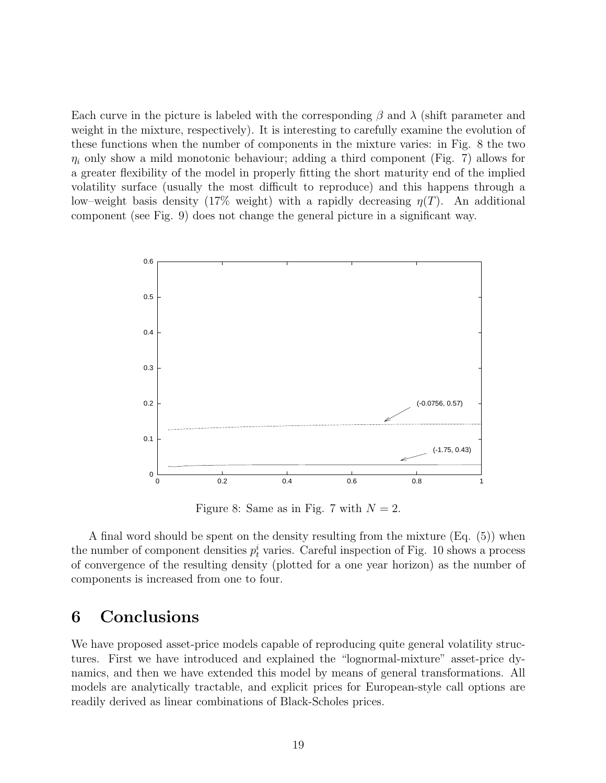Each curve in the picture is labeled with the corresponding  $\beta$  and  $\lambda$  (shift parameter and weight in the mixture, respectively). It is interesting to carefully examine the evolution of these functions when the number of components in the mixture varies: in Fig. 8 the two  $\eta_i$  only show a mild monotonic behaviour; adding a third component (Fig. 7) allows for a greater flexibility of the model in properly fitting the short maturity end of the implied volatility surface (usually the most difficult to reproduce) and this happens through a low–weight basis density (17% weight) with a rapidly decreasing  $\eta(T)$ . An additional component (see Fig. 9) does not change the general picture in a significant way.



Figure 8: Same as in Fig. 7 with  $N = 2$ .

A final word should be spent on the density resulting from the mixture (Eq. (5)) when the number of component densities  $p_t^i$  varies. Careful inspection of Fig. 10 shows a process of convergence of the resulting density (plotted for a one year horizon) as the number of components is increased from one to four.

### 6 Conclusions

We have proposed asset-price models capable of reproducing quite general volatility structures. First we have introduced and explained the "lognormal-mixture" asset-price dynamics, and then we have extended this model by means of general transformations. All models are analytically tractable, and explicit prices for European-style call options are readily derived as linear combinations of Black-Scholes prices.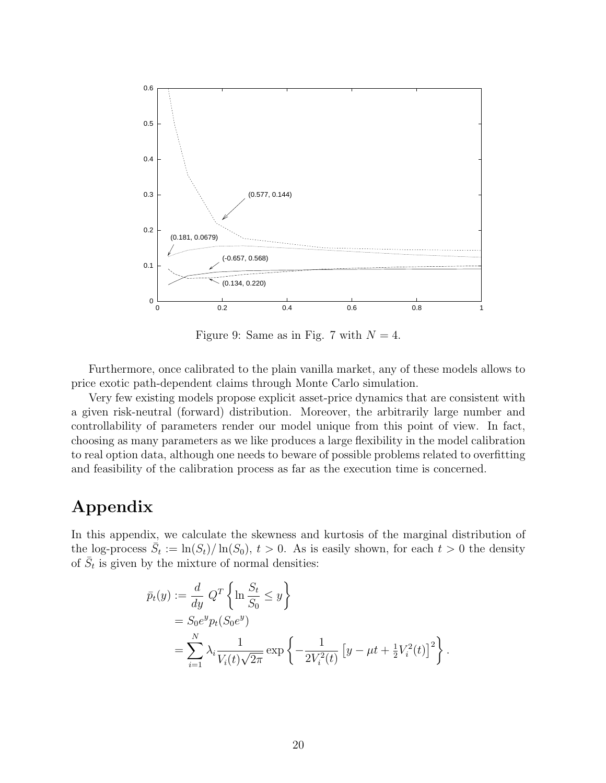

Figure 9: Same as in Fig. 7 with  $N = 4$ .

Furthermore, once calibrated to the plain vanilla market, any of these models allows to price exotic path-dependent claims through Monte Carlo simulation.

Very few existing models propose explicit asset-price dynamics that are consistent with a given risk-neutral (forward) distribution. Moreover, the arbitrarily large number and controllability of parameters render our model unique from this point of view. In fact, choosing as many parameters as we like produces a large flexibility in the model calibration to real option data, although one needs to beware of possible problems related to overfitting and feasibility of the calibration process as far as the execution time is concerned.

## Appendix

In this appendix, we calculate the skewness and kurtosis of the marginal distribution of the log-process  $\overline{S}_t := \ln(S_t)/\ln(S_0)$ ,  $t > 0$ . As is easily shown, for each  $t > 0$  the density of  $\overline{S}_t$  is given by the mixture of normal densities:

$$
\bar{p}_t(y) := \frac{d}{dy} Q^T \left\{ \ln \frac{S_t}{S_0} \le y \right\} \n= S_0 e^y p_t(S_0 e^y) \n= \sum_{i=1}^N \lambda_i \frac{1}{V_i(t)\sqrt{2\pi}} \exp \left\{ -\frac{1}{2V_i^2(t)} \left[ y - \mu t + \frac{1}{2} V_i^2(t) \right]^2 \right\}.
$$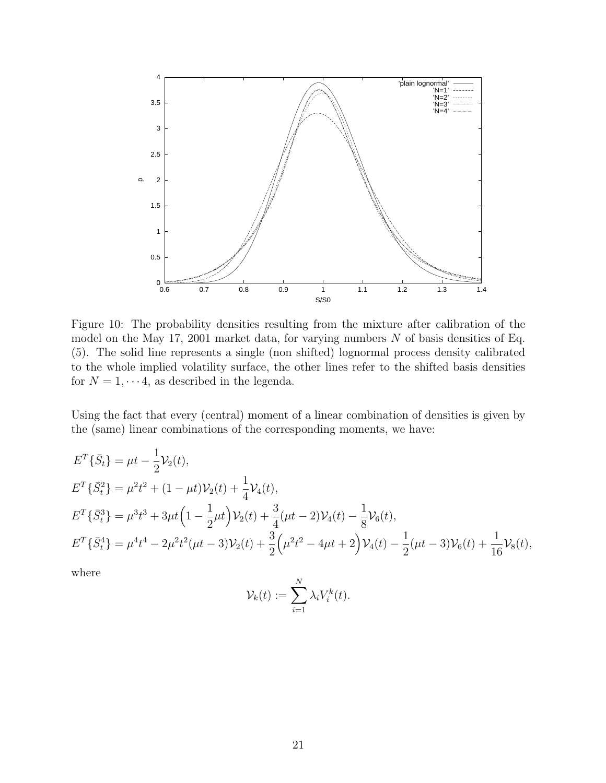

Figure 10: The probability densities resulting from the mixture after calibration of the model on the May 17, 2001 market data, for varying numbers  $N$  of basis densities of Eq. (5). The solid line represents a single (non shifted) lognormal process density calibrated to the whole implied volatility surface, the other lines refer to the shifted basis densities for  $N = 1, \dots 4$ , as described in the legenda.

Using the fact that every (central) moment of a linear combination of densities is given by the (same) linear combinations of the corresponding moments, we have:

$$
E^{T}\{\bar{S}_{t}\} = \mu t - \frac{1}{2}V_{2}(t),
$$
  
\n
$$
E^{T}\{\bar{S}_{t}^{2}\} = \mu^{2}t^{2} + (1 - \mu t)V_{2}(t) + \frac{1}{4}V_{4}(t),
$$
  
\n
$$
E^{T}\{\bar{S}_{t}^{3}\} = \mu^{3}t^{3} + 3\mu t\left(1 - \frac{1}{2}\mu t\right)V_{2}(t) + \frac{3}{4}(\mu t - 2)V_{4}(t) - \frac{1}{8}V_{6}(t),
$$
  
\n
$$
E^{T}\{\bar{S}_{t}^{4}\} = \mu^{4}t^{4} - 2\mu^{2}t^{2}(\mu t - 3)V_{2}(t) + \frac{3}{2}(\mu^{2}t^{2} - 4\mu t + 2)V_{4}(t) - \frac{1}{2}(\mu t - 3)V_{6}(t) + \frac{1}{16}V_{8}(t),
$$

where

$$
\mathcal{V}_k(t) := \sum_{i=1}^N \lambda_i V_i^k(t).
$$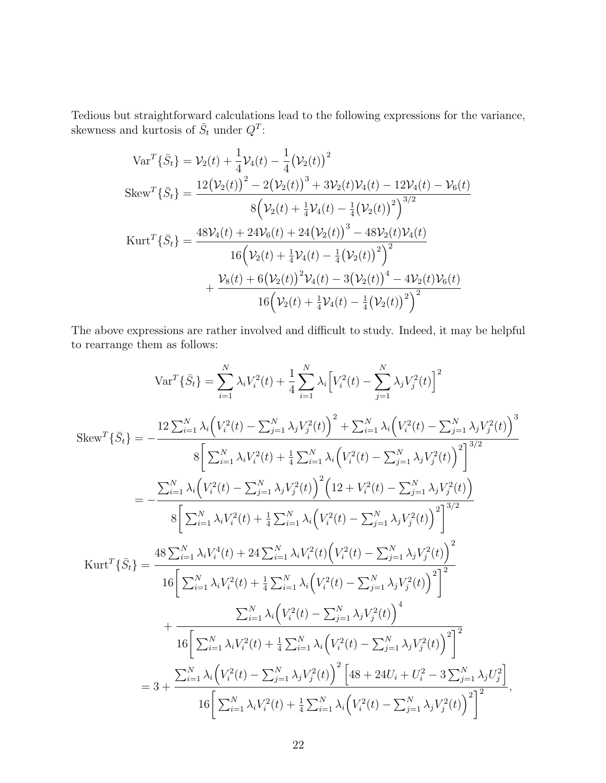Tedious but straightforward calculations lead to the following expressions for the variance, skewness and kurtosis of  $\bar{S}_t$  under  $Q^T$ :

$$
\begin{split}\n\text{Var}^T \{\bar{S}_t\} &= \mathcal{V}_2(t) + \frac{1}{4} \mathcal{V}_4(t) - \frac{1}{4} (\mathcal{V}_2(t))^2 \\
\text{Skew}^T \{\bar{S}_t\} &= \frac{12 (\mathcal{V}_2(t))^2 - 2 (\mathcal{V}_2(t))^3 + 3 \mathcal{V}_2(t) \mathcal{V}_4(t) - 12 \mathcal{V}_4(t) - \mathcal{V}_6(t)}{8 (\mathcal{V}_2(t) + \frac{1}{4} \mathcal{V}_4(t) - \frac{1}{4} (\mathcal{V}_2(t))^2)^{3/2}} \\
\text{Kurt}^T \{\bar{S}_t\} &= \frac{48 \mathcal{V}_4(t) + 24 \mathcal{V}_6(t) + 24 (\mathcal{V}_2(t))^3 - 48 \mathcal{V}_2(t) \mathcal{V}_4(t)}{16 (\mathcal{V}_2(t) + \frac{1}{4} \mathcal{V}_4(t) - \frac{1}{4} (\mathcal{V}_2(t))^2)^2} \\
&\quad + \frac{\mathcal{V}_8(t) + 6 (\mathcal{V}_2(t))^2 \mathcal{V}_4(t) - 3 (\mathcal{V}_2(t))^4 - 4 \mathcal{V}_2(t) \mathcal{V}_6(t)}{16 (\mathcal{V}_2(t) + \frac{1}{4} \mathcal{V}_4(t) - \frac{1}{4} (\mathcal{V}_2(t))^2)^2}\n\end{split}
$$

The above expressions are rather involved and difficult to study. Indeed, it may be helpful to rearrange them as follows:

$$
Var^{T}\{\bar{S}_{t}\} = \sum_{i=1}^{N} \lambda_{i} V_{i}^{2}(t) + \frac{1}{4} \sum_{i=1}^{N} \lambda_{i} \Big[ V_{i}^{2}(t) - \sum_{j=1}^{N} \lambda_{j} V_{j}^{2}(t) \Big]^{2}
$$
  
\n
$$
Skew^{T}\{\bar{S}_{t}\} = -\frac{12 \sum_{i=1}^{N} \lambda_{i} \Big( V_{i}^{2}(t) - \sum_{j=1}^{N} \lambda_{j} V_{j}^{2}(t) \Big)^{2} + \sum_{i=1}^{N} \lambda_{i} \Big( V_{i}^{2}(t) - \sum_{j=1}^{N} \lambda_{j} V_{j}^{2}(t) \Big)^{3}}{8 \Big[ \sum_{i=1}^{N} \lambda_{i} V_{i}^{2}(t) + \frac{1}{4} \sum_{i=1}^{N} \lambda_{i} \Big( V_{i}^{2}(t) - \sum_{j=1}^{N} \lambda_{j} V_{j}^{2}(t) \Big)^{2} \Big]^{3/2}} - \frac{\sum_{i=1}^{N} \lambda_{i} \Big( V_{i}^{2}(t) - \sum_{j=1}^{N} \lambda_{j} V_{j}^{2}(t) \Big)^{2}}{8 \Big[ \sum_{i=1}^{N} \lambda_{i} V_{i}^{2}(t) + \frac{1}{4} \sum_{i=1}^{N} \lambda_{i} \Big( V_{i}^{2}(t) - \sum_{j=1}^{N} \lambda_{j} V_{j}^{2}(t) \Big)^{2} \Big]^{3/2}} - \frac{48 \sum_{i=1}^{N} \lambda_{i} V_{i}^{4}(t) + 24 \sum_{i=1}^{N} \lambda_{i} V_{i}^{2}(t) \Big( V_{i}^{2}(t) - \sum_{j=1}^{N} \lambda_{j} V_{j}^{2}(t) \Big)^{2}}{16 \Big[ \sum_{i=1}^{N} \lambda_{i} V_{i}^{2}(t) + \frac{1}{4} \sum_{i=1}^{N} \lambda_{i} \Big( V_{i}^{2}(t) - \sum_{j=1}^{N} \lambda_{j} V_{j}^{2}(t) \Big)^{2} \Big]^{2} - \frac{1}{16 \Big[ \sum_{i=1}^{N} \lambda_{i} V_{i}^{2}(t) + \frac
$$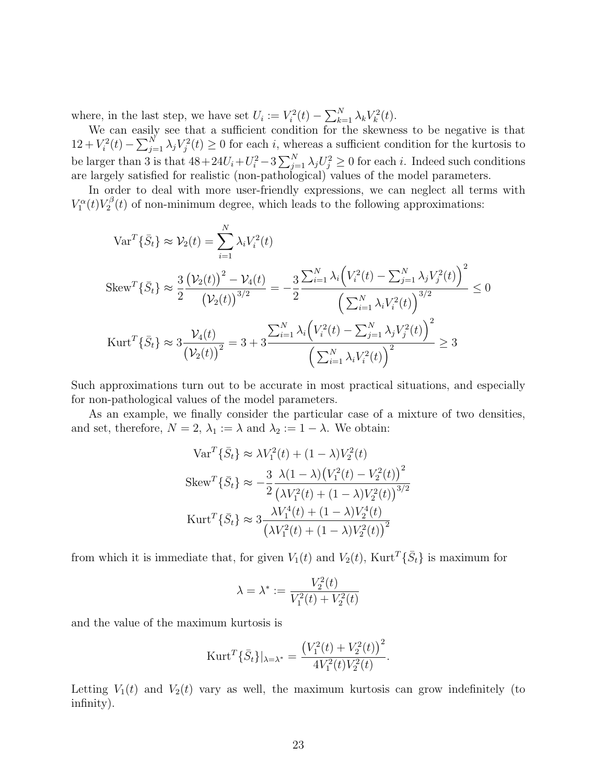where, in the last step, we have set  $U_i := V_i^2(t) - \sum_{k=1}^N$  $_{k=1}^N$   $\lambda_k V_k^2(t)$ .

We can easily see that a sufficient condition for the skewness to be negative is that we can easily<br>  $12 + V_i^2(t) - \sum_{j=1}^{N}$  $j=1 \lambda_j V_j^2(t) \geq 0$  for each i, whereas a sufficient condition for the kurtosis to be larger than 3 is that  $48+24U_i+U_i^2-3\sum_{j=1}^N\lambda_jU_j^2\geq 0$  for each i. Indeed such conditions  $\sum_{N}^{N}$ are largely satisfied for realistic (non-pathological) values of the model parameters.

In order to deal with more user-friendly expressions, we can neglect all terms with  $V_1^{\alpha}(t)V_2^{\beta}$  $Z_2^{\beta}(t)$  of non-minimum degree, which leads to the following approximations:

$$
\operatorname{Var}^T \{\bar{S}_t\} \approx \mathcal{V}_2(t) = \sum_{i=1}^N \lambda_i V_i^2(t)
$$
  
\n
$$
\operatorname{Skew}^T \{\bar{S}_t\} \approx \frac{3}{2} \frac{(\mathcal{V}_2(t))^2 - \mathcal{V}_4(t)}{(\mathcal{V}_2(t))^{3/2}} = -\frac{3}{2} \frac{\sum_{i=1}^N \lambda_i (V_i^2(t) - \sum_{j=1}^N \lambda_j V_j^2(t))^2}{\left(\sum_{i=1}^N \lambda_i V_i^2(t)\right)^{3/2}} \le 0
$$
  
\n
$$
\operatorname{Kurt}^T \{\bar{S}_t\} \approx 3 \frac{\mathcal{V}_4(t)}{(\mathcal{V}_2(t))^2} = 3 + 3 \frac{\sum_{i=1}^N \lambda_i (V_i^2(t) - \sum_{j=1}^N \lambda_j V_j^2(t))^2}{\left(\sum_{i=1}^N \lambda_i V_i^2(t)\right)^2} \ge 3
$$

Such approximations turn out to be accurate in most practical situations, and especially for non-pathological values of the model parameters.

As an example, we finally consider the particular case of a mixture of two densities, and set, therefore,  $N = 2$ ,  $\lambda_1 := \lambda$  and  $\lambda_2 := 1 - \lambda$ . We obtain:

$$
\operatorname{Var}^T \{\bar{S}_t\} \approx \lambda V_1^2(t) + (1 - \lambda) V_2^2(t)
$$
  
\n
$$
\operatorname{Skew}^T \{\bar{S}_t\} \approx -\frac{3}{2} \frac{\lambda (1 - \lambda) (V_1^2(t) - V_2^2(t))^2}{(\lambda V_1^2(t) + (1 - \lambda) V_2^2(t))^{3/2}}
$$
  
\n
$$
\operatorname{Kurt}^T \{\bar{S}_t\} \approx 3 \frac{\lambda V_1^4(t) + (1 - \lambda) V_2^4(t)}{(\lambda V_1^2(t) + (1 - \lambda) V_2^2(t))^2}
$$

from which it is immediate that, for given  $V_1(t)$  and  $V_2(t)$ ,  $Kurt^T\{\bar{S}_t\}$  is maximum for

$$
\lambda=\lambda^*:=\frac{V_2^2(t)}{V_1^2(t)+V_2^2(t)}
$$

and the value of the maximum kurtosis is

$$
\text{Kurt}^T\{\bar{S}_t\}|_{\lambda=\lambda^*} = \frac{\left(V_1^2(t) + V_2^2(t)\right)^2}{4V_1^2(t)V_2^2(t)}.
$$

Letting  $V_1(t)$  and  $V_2(t)$  vary as well, the maximum kurtosis can grow indefinitely (to infinity).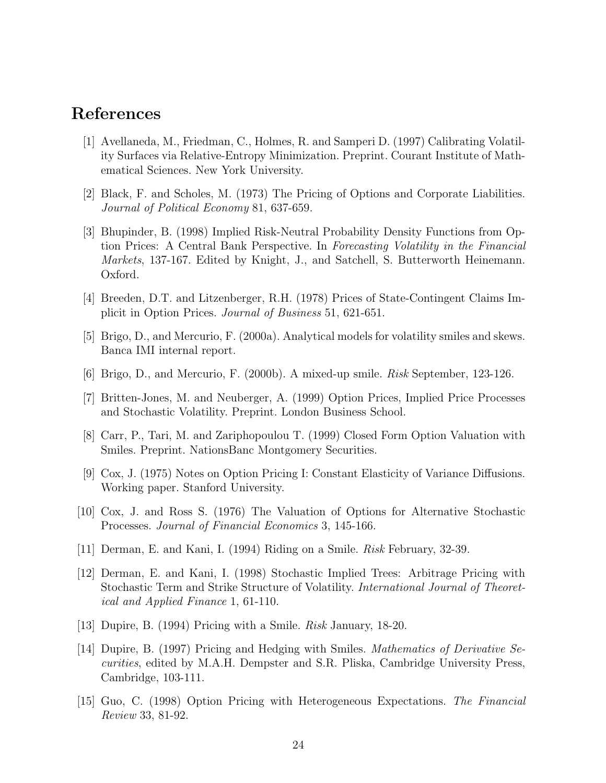#### References

- [1] Avellaneda, M., Friedman, C., Holmes, R. and Samperi D. (1997) Calibrating Volatility Surfaces via Relative-Entropy Minimization. Preprint. Courant Institute of Mathematical Sciences. New York University.
- [2] Black, F. and Scholes, M. (1973) The Pricing of Options and Corporate Liabilities. Journal of Political Economy 81, 637-659.
- [3] Bhupinder, B. (1998) Implied Risk-Neutral Probability Density Functions from Option Prices: A Central Bank Perspective. In Forecasting Volatility in the Financial Markets, 137-167. Edited by Knight, J., and Satchell, S. Butterworth Heinemann. Oxford.
- [4] Breeden, D.T. and Litzenberger, R.H. (1978) Prices of State-Contingent Claims Implicit in Option Prices. Journal of Business 51, 621-651.
- [5] Brigo, D., and Mercurio, F. (2000a). Analytical models for volatility smiles and skews. Banca IMI internal report.
- [6] Brigo, D., and Mercurio, F. (2000b). A mixed-up smile. Risk September, 123-126.
- [7] Britten-Jones, M. and Neuberger, A. (1999) Option Prices, Implied Price Processes and Stochastic Volatility. Preprint. London Business School.
- [8] Carr, P., Tari, M. and Zariphopoulou T. (1999) Closed Form Option Valuation with Smiles. Preprint. NationsBanc Montgomery Securities.
- [9] Cox, J. (1975) Notes on Option Pricing I: Constant Elasticity of Variance Diffusions. Working paper. Stanford University.
- [10] Cox, J. and Ross S. (1976) The Valuation of Options for Alternative Stochastic Processes. Journal of Financial Economics 3, 145-166.
- [11] Derman, E. and Kani, I. (1994) Riding on a Smile. Risk February, 32-39.
- [12] Derman, E. and Kani, I. (1998) Stochastic Implied Trees: Arbitrage Pricing with Stochastic Term and Strike Structure of Volatility. International Journal of Theoretical and Applied Finance 1, 61-110.
- [13] Dupire, B. (1994) Pricing with a Smile. Risk January, 18-20.
- [14] Dupire, B. (1997) Pricing and Hedging with Smiles. Mathematics of Derivative Securities, edited by M.A.H. Dempster and S.R. Pliska, Cambridge University Press, Cambridge, 103-111.
- [15] Guo, C. (1998) Option Pricing with Heterogeneous Expectations. The Financial Review 33, 81-92.